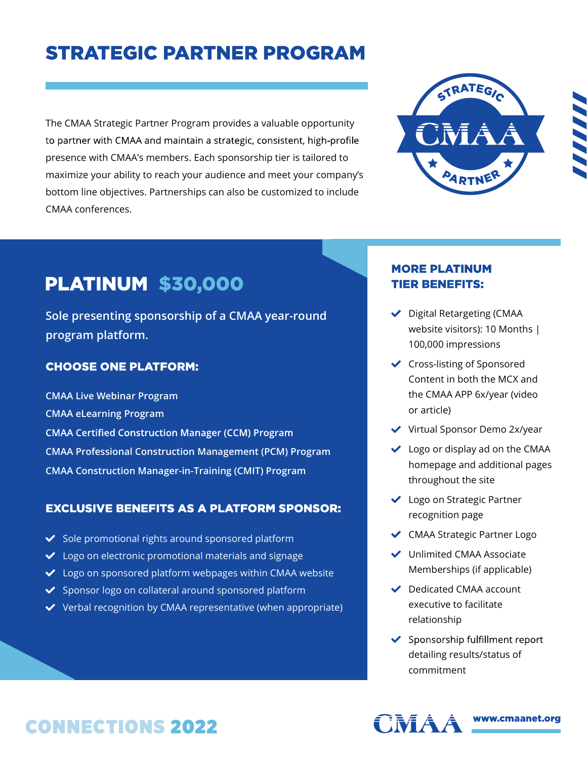# **STRATEGIC PARTNER PROGRAM**

The CMAA Strategic Partner Program provides a valuable opportunity to partner with CMAA and maintain a strategic, consistent, high-profile presence with CMAA's members. Each sponsorship tier is tailored to maximize your ability to reach your audience and meet your company's bottom line objectives. Partnerships can also be customized to include CMAA conferences.



# **PLATINUM \$30,000**

Sole presenting sponsorship of a CMAA year-round program platform.

### **CHOOSE ONE PLATFORM:**

CMAA Live Webinar Program CMAA eLearning Program **CMAA Certified Construction Manager (CCM) Program** CMAA Professional Construction Management (PCM) Program CMAA Construction Manager-in-Training (CMIT) Program

#### **EXCLUSIVE BENEFITS AS A PLATFORM SPONSOR:**

- $\checkmark$  Sole promotional rights around sponsored platform
- ◆ Logo on electronic promotional materials and signage
- ◆ Logo on sponsored platform webpages within CMAA website
- ◆ Sponsor logo on collateral around sponsored platform
- $\vee$  Verbal recognition by CMAA representative (when appropriate)

### **MORE PLATINUM TIER BENEFITS:**

- ◆ Digital Retargeting (CMAA website visitors): 10 Months | 100,000 impressions
- **↓** Cross-listing of Sponsored Content in both the MCX and the CMAA APP 6x/year (video or article)
- ◆ Virtual Sponsor Demo 2x/year
- $\vee$  Logo or display ad on the CMAA homepage and additional pages throughout the site
- ◆ Logo on Strategic Partner recognition page
- ◆ CMAA Strategic Partner Logo
- **◆** Unlimited CMAA Associate Memberships (if applicable)
- Dedicated CMAA account executive to facilitate relationship
- ◆ Sponsorship fulfillment report detailing results/status of commitment





www.cmaanet.org